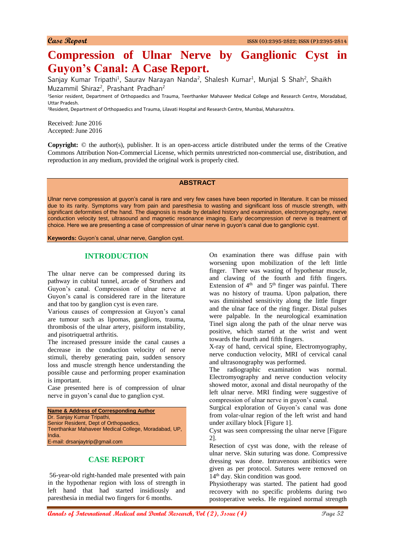# **Compression of Ulnar Nerve by Ganglionic Cyst in Guyon's Canal: A Case Report.**

Sanjay Kumar Tripathi<sup>1</sup>, Saurav Narayan Nanda<sup>2</sup>, Shalesh Kumar<sup>1</sup>, Munjal S Shah<sup>2</sup>, Shaikh Muzammil Shiraz<sup>2</sup>, Prashant Pradhan<sup>2</sup>

<sup>1</sup>Senior resident, Department of Orthopaedics and Trauma, Teerthanker Mahaveer Medical College and Research Centre, Moradabad, Uttar Pradesh.

<sup>2</sup>Resident, Department of Orthopaedics and Trauma, Lilavati Hospital and Research Centre, Mumbai, Maharashtra.

Received: June 2016 Accepted: June 2016

**Copyright:** © the author(s), publisher. It is an open-access article distributed under the terms of the Creative Commons Attribution Non-Commercial License, which permits unrestricted non-commercial use, distribution, and reproduction in any medium, provided the original work is properly cited.

#### **ABSTRACT**

Ulnar nerve compression at guyon's canal is rare and very few cases have been reported in literature. It can be missed due to its rarity. Symptoms vary from pain and paresthesia to wasting and significant loss of muscle strength, with significant deformities of the hand. The diagnosis is made by detailed history and examination, electromyography, nerve conduction velocity test, ultrasound and magnetic resonance imaging. Early decompression of nerve is treatment of choice. Here we are presenting a case of compression of ulnar nerve in guyon's canal due to ganglionic cyst.

**Keywords:** Guyon's canal, ulnar nerve, Ganglion cyst.

## **INTRODUCTION**

The ulnar nerve can be compressed during its pathway in cubital tunnel, arcade of Struthers and Guyon's canal. Compression of ulnar nerve at Guyon's canal is considered rare in the literature and that too by ganglion cyst is even rare.

Various causes of compression at Guyon's canal are tumour such as lipomas, ganglions, trauma, thrombosis of the ulnar artery, pisiform instability, and pisotriquetral arthritis.

The increased pressure inside the canal causes a decrease in the conduction velocity of nerve stimuli, thereby generating pain, sudden sensory loss and muscle strength hence understanding the possible cause and performing proper examination is important.

Case presented here is of compression of ulnar nerve in guyon's canal due to ganglion cyst.

#### **Name & Address of Corresponding Author** Dr. Sanjay Kumar Tripathi, Senior Resident, Dept of Orthopaedics, Teerthankar Mahaveer Medical College, Moradabad, UP, India. E-mail: drsanjaytrip@gmail.com

#### **CASE REPORT**

56-year-old right-handed male presented with pain in the hypothenar region with loss of strength in left hand that had started insidiously and paresthesia in medial two fingers for 6 months.

On examination there was diffuse pain with worsening upon mobilization of the left little finger. There was wasting of hypothenar muscle, and clawing of the fourth and fifth fingers. Extension of  $4<sup>th</sup>$  and  $5<sup>th</sup>$  finger was painful. There was no history of trauma. Upon palpation, there was diminished sensitivity along the little finger and the ulnar face of the ring finger. Distal pulses were palpable. In the neurological examination Tinel sign along the path of the ulnar nerve was positive, which started at the wrist and went towards the fourth and fifth fingers.

X-ray of hand, cervical spine, Electromyography, nerve conduction velocity, MRI of cervical canal and ultrasonography was performed.

The radiographic examination was normal. Electromyography and nerve conduction velocity showed motor, axonal and distal neuropathy of the left ulnar nerve. MRI finding were suggestive of compression of ulnar nerve in guyon's canal.

Surgical exploration of Guyon's canal was done from volar-ulnar region of the left wrist and hand under axillary block [Figure 1].

Cyst was seen compressing the ulnar nerve [Figure 2].

Resection of cyst was done, with the release of ulnar nerve. Skin suturing was done. Compressive dressing was done. Intravenous antibiotics were given as per protocol. Sutures were removed on 14<sup>th</sup> day. Skin condition was good.

Physiotherapy was started. The patient had good recovery with no specific problems during two postoperative weeks. He regained normal strength